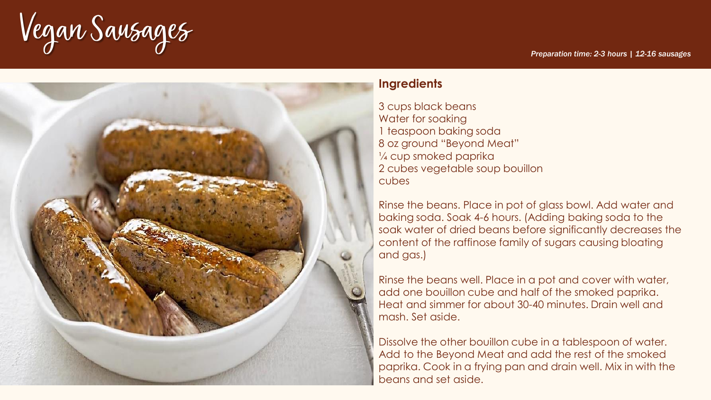Vegan Sausages



# **Ingredients**

3 cups black beans Water for soaking 1 teaspoon baking soda 8 oz ground "Beyond Meat" ¼ cup smoked paprika 2 cubes vegetable soup bouillon cubes

Rinse the beans. Place in pot of glass bowl. Add water and baking soda. Soak 4-6 hours. (Adding baking soda to the soak water of dried beans before significantly decreases the content of the raffinose family of sugars causing bloating and gas.)

Rinse the beans well. Place in a pot and cover with water, add one bouillon cube and half of the smoked paprika. Heat and simmer for about 30-40 minutes. Drain well and mash. Set aside.

Dissolve the other bouillon cube in a tablespoon of water. Add to the Beyond Meat and add the rest of the smoked paprika. Cook in a frying pan and drain well. Mix in with the beans and set aside.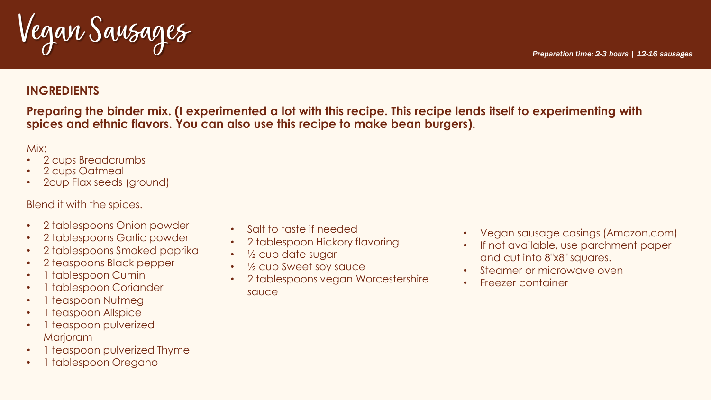Vegan Sausages

# **INGREDIENTS**

**Preparing the binder mix. (I experimented a lot with this recipe. This recipe lends itself to experimenting with spices and ethnic flavors. You can also use this recipe to make bean burgers).**

Mix:

- 2 cups Breadcrumbs
- 2 cups Oatmeal
- 2cup Flax seeds (ground)

Blend it with the spices.

- 2 tablespoons Onion powder
- 2 tablespoons Garlic powder
- 2 tablespoons Smoked paprika
- 2 teaspoons Black pepper
- 1 tablespoon Cumin
- 1 tablespoon Coriander
- 1 teaspoon Nutmeg
- 1 teaspoon Allspice
- 1 teaspoon pulverized **Marjoram**
- 1 teaspoon pulverized Thyme
- 1 tablespoon Oregano
- Salt to taste if needed
- 2 tablespoon Hickory flavoring
- 1/2 cup date sugar
- $\frac{1}{2}$  cup Sweet soy sauce
- 2 tablespoons vegan Worcestershire sauce
- Vegan sausage casings (Amazon.com)
- If not available, use parchment paper and cut into 8"x8" squares.
- Steamer or microwave oven
- Freezer container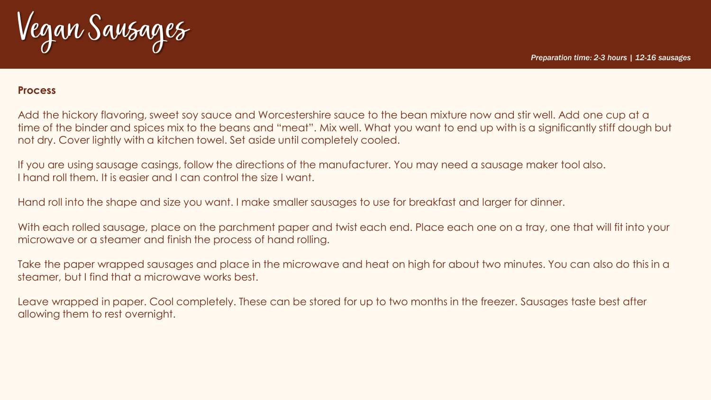Vegan Sausages

#### **Process**

Add the hickory flavoring, sweet soy sauce and Worcestershire sauce to the bean mixture now and stir well. Add one cup at a time of the binder and spices mix to the beans and "meat". Mix well. What you want to end up with is a significantly stiff dough but not dry. Cover lightly with a kitchen towel. Set aside until completely cooled.

If you are using sausage casings, follow the directions of the manufacturer. You may need a sausage maker tool also. I hand roll them. It is easier and I can control the size I want.

Hand roll into the shape and size you want. I make smaller sausages to use for breakfast and larger for dinner.

With each rolled sausage, place on the parchment paper and twist each end. Place each one on a tray, one that will fit into your microwave or a steamer and finish the process of hand rolling.

Take the paper wrapped sausages and place in the microwave and heat on high for about two minutes. You can also do this in a steamer, but I find that a microwave works best.

Leave wrapped in paper. Cool completely. These can be stored for up to two months in the freezer. Sausages taste best after allowing them to rest overnight.